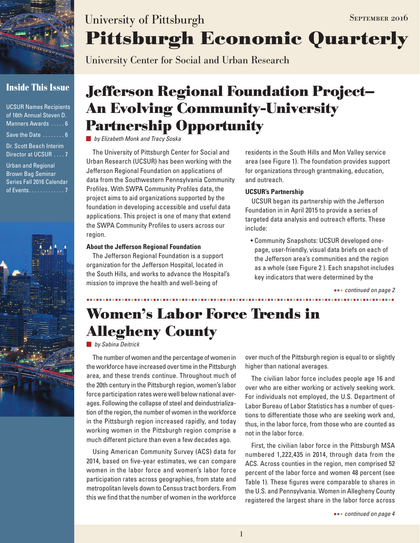

## **Inside This Issue**

| <b>UCSUR Names Recipients</b><br>of 16th Annual Steven D.<br>Manners Awards  6     |
|------------------------------------------------------------------------------------|
| Save the Date $\dots \dots 6$                                                      |
| Dr. Scott Beach Interim<br>Director at UCSUR  7                                    |
| <b>Urban and Regional</b><br><b>Brown Bag Seminar</b><br>Series Fall 2016 Calendar |

of Events . . . . . . . . . . . . 7



# **Pittsburgh Economic Quarterly** University of Pittsburgh SEPTEMBER 2016

University Center for Social and Urban Research

# **Jefferson Regional Foundation Project— An Evolving Community-University Partnership Opportunity**

*by Elizabeth Monk and Tracy Soska*

The University of Pittsburgh Center for Social and Urban Research (UCSUR) has been working with the Jefferson Regional Foundation on applications of data from the Southwestern Pennsylvania Community Profiles. With SWPA Community Profiles data, the project aims to aid organizations supported by the foundation in developing accessible and useful data applications. This project is one of many that extend the SWPA Community Profiles to users across our region.

#### **About the Jefferson Regional Foundation**

The Jefferson Regional Foundation is a support organization for the Jefferson Hospital, located in the South Hills, and works to advance the Hospital's mission to improve the health and well-being of

residents in the South Hills and Mon Valley service area (see Figure 1). The foundation provides support for organizations through grantmaking, education, and outreach.

### **UCSUR's Partnership**

UCSUR began its partnership with the Jefferson Foundation in in April 2015 to provide a series of targeted data analysis and outreach efforts. These include:

• Community Snapshots: UCSUR developed onepage, user-friendly, visual data briefs on each of the Jefferson area's communities and the region as a whole (see Figure 2 ). Each snapshot includes key indicators that were determined by the

 *continued on page 2*

# **Women's Labor Force Trends in Allegheny County**

*by Sabina Deitrick*

The number of women and the percentage of women in the workforce have increased over time in the Pittsburgh area, and these trends continue. Throughout much of the 20th century in the Pittsburgh region, women's labor force participation rates were well below national averages. Following the collapse of steel and deindustrialization of the region, the number of women in the workforce in the Pittsburgh region increased rapidly, and today working women in the Pittsburgh region comprise a much different picture than even a few decades ago.

Using American Community Survey (ACS) data for 2014, based on five-year estimates, we can compare women in the labor force and women's labor force participation rates across geographies, from state and metropolitan levels down to Census tract borders. From this we find that the number of women in the workforce over much of the Pittsburgh region is equal to or slightly higher than national averages.

The civilian labor force includes people age 16 and over who are either working or actively seeking work. For individuals not employed, the U.S. Department of Labor Bureau of Labor Statistics has a number of questions to differentiate those who are seeking work and, thus, in the labor force, from those who are counted as not in the labor force.

First, the civilian labor force in the Pittsburgh MSA numbered 1,222,435 in 2014, through data from the ACS. Across counties in the region, men comprised 52 percent of the labor force and women 48 percent (see Table 1). These figures were comparable to shares in the U.S. and Pennsylvania. Women in Allegheny County registered the largest share in the labor force across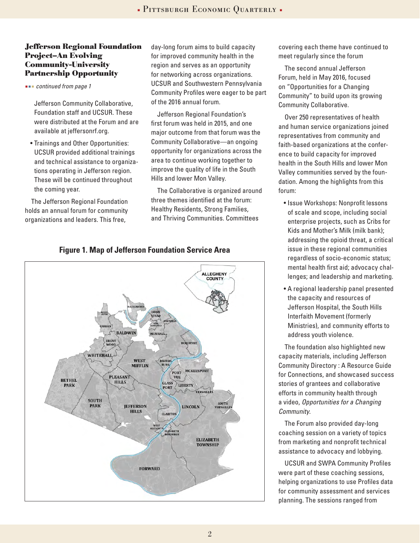### **Jefferson Regional Foundation Project–An Evolving Community-University Partnership Opportunity**

 *continued from page 1*

Jefferson Community Collaborative, Foundation staff and UCSUR. These were distributed at the Forum and are available at jeffersonrf.org.

• Trainings and Other Opportunities: UCSUR provided additional trainings and technical assistance to organizations operating in Jefferson region. These will be continued throughout the coming year.

The Jefferson Regional Foundation holds an annual forum for community organizations and leaders. This free,

day-long forum aims to build capacity for improved community health in the region and serves as an opportunity for networking across organizations. UCSUR and Southwestern Pennsylvania Community Profiles were eager to be part of the 2016 annual forum.

Jefferson Regional Foundation's first forum was held in 2015, and one major outcome from that forum was the Community Collaborative—an ongoing opportunity for organizations across the area to continue working together to improve the quality of life in the South Hills and lower Mon Valley.

The Collaborative is organized around three themes identified at the forum: Healthy Residents, Strong Families, and Thriving Communities. Committees

covering each theme have continued to meet regularly since the forum

The second annual Jefferson Forum, held in May 2016, focused on "Opportunities for a Changing Community" to build upon its growing Community Collaborative.

Over 250 representatives of health and human service organizations joined representatives from community and faith-based organizations at the conference to build capacity for improved health in the South Hills and lower Mon Valley communities served by the foundation. Among the highlights from this forum:

- Issue Workshops: Nonprofit lessons of scale and scope, including social enterprise projects, such as Cribs for Kids and Mother's Milk (milk bank); addressing the opioid threat, a critical issue in these regional communities regardless of socio-economic status; mental health first aid; advocacy challenges; and leadership and marketing.
- A regional leadership panel presented the capacity and resources of Jefferson Hospital, the South Hills Interfaith Movement (formerly Ministries), and community efforts to address youth violence.

The foundation also highlighted new capacity materials, including Jefferson Community Directory : A Resource Guide for Connections, and showcased success stories of grantees and collaborative efforts in community health through a video, *Opportunities for a Changing Community*.

The Forum also provided day-long coaching session on a variety of topics from marketing and nonprofit technical assistance to advocacy and lobbying.

UCSUR and SWPA Community Profiles were part of these coaching sessions, helping organizations to use Profiles data for community assessment and services planning. The sessions ranged from



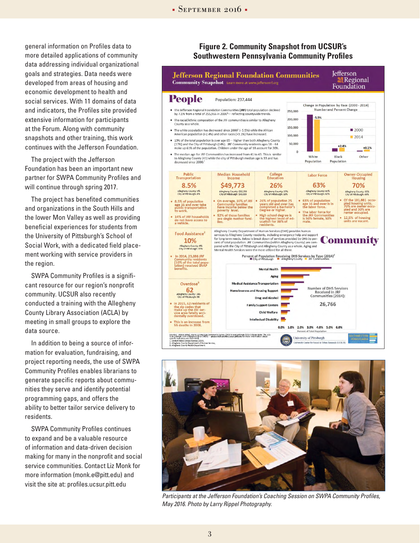general information on Profiles data to more detailed applications of community data addressing individual organizational goals and strategies. Data needs were developed from areas of housing and economic development to health and social services. With 11 domains of data and indicators, the Profiles site provided extensive information for participants at the Forum. Along with community snapshots and other training, this work continues with the Jefferson Foundation.

The project with the Jefferson Foundation has been an important new partner for SWPA Community Profiles and will continue through spring 2017.

The project has benefited communities and organizations in the South Hills and the lower Mon Valley as well as providing beneficial experiences for students from the University of Pittsburgh's School of Social Work, with a dedicated field placement working with service providers in the region.

SWPA Community Profiles is a significant resource for our region's nonprofit community. UCSUR also recently conducted a training with the Allegheny County Library Association (ACLA) by meeting in small groups to explore the data source.

In addition to being a source of information for evaluation, fundraising, and project reporting needs, the use of SWPA Community Profiles enables librarians to generate specific reports about communities they serve and identify potential programming gaps, and offers the ability to better tailor service delivery to residents.

SWPA Community Profiles continues to expand and be a valuable resource of information and data-driven decision making for many in the nonprofit and social service communities. Contact Liz Monk for more information (monk.e@pitt.edu) and visit the site at: profiles.ucsur.pitt.edu

### **Figure 2. Community Snapshot from UCSUR's Southwestern Pennsylvania Community Profiles**





*Participants at the Jefferson Foundation's Coaching Session on SWPA Community Profiles, May 2016. Photo by Larry Rippel Photography.*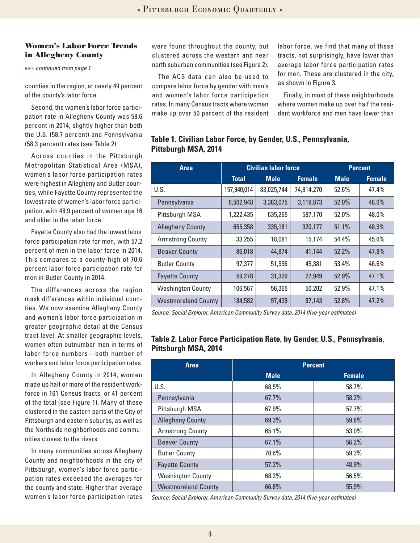### **Women's Labor Force Trends in Allegheny County**

 *continued from page 1*

counties in the region, at nearly 49 percent of the county's labor force.

Second, the women's labor force participation rate in Allegheny County was 59.6 percent in 2014, slightly higher than both the U.S. (58.7 percent) and Pennsylvania (58.3 percent) rates (see Table 2).

Across counties in the Pittsburgh Metropolitan Statistical Area (MSA), women's labor force participation rates were highest in Allegheny and Butler counties, while Fayette County represented the lowest rate of women's labor force participation, with 48.9 percent of women age 16 and older in the labor force.

Fayette County also had the lowest labor force participation rate for men, with 57.2 percent of men in the labor force in 2014. This compares to a county-high of 70.6 percent labor force participation rate for men in Butler County in 2014.

The differences across the region mask differences within individual counties. We now examine Allegheny County and women's labor force participation in greater geographic detail at the Census tract level. At smaller geographic levels, women often outnumber men in terms of labor force numbers—both number of workers and labor force participation rates.

In Allegheny County in 2014, women made up half or more of the resident workforce in 161 Census tracts, or 41 percent of the total (see Figure 1). Many of these clustered in the eastern parts of the City of Pittsburgh and eastern suburbs, as well as the Northside neighborhoods and communities closest to the rivers.

In many communities across Allegheny County and neighborhoods in the city of Pittsburgh, women's labor force participation rates exceeded the averages for the county and state. Higher than average women's labor force participation rates were found throughout the county, but clustered across the western and near north suburban communities (see Figure 2).

The ACS data can also be used to compare labor force by gender with men's and women's labor force participation rates. In many Census tracts where women make up over 50 percent of the resident labor force, we find that many of these tracts, not surprisingly, have lower than average labor force participation rates for men. These are clustered in the city, as shown in Figure 3.

Finally, in most of these neighborhoods where women make up over half the resident workforce and men have lower than

### **Table 1. Civilian Labor Force, by Gender, U.S., Pennsylvania, Pittsburgh MSA, 2014**

| <b>Area</b>                | <b>Civilian labor force</b> |             |               | <b>Percent</b> |               |
|----------------------------|-----------------------------|-------------|---------------|----------------|---------------|
|                            | <b>Total</b>                | <b>Male</b> | <b>Female</b> | <b>Male</b>    | <b>Female</b> |
| U.S.                       | 157,940,014                 | 83,025,744  | 74,914,270    | 52.6%          | 47.4%         |
| Pennsylvania               | 6,502,948                   | 3,383,075   | 3,119,873     | 52.0%          | 48.0%         |
| Pittsburgh MSA             | 1,222,435                   | 635,265     | 587,170       | 52.0%          | 48.0%         |
| <b>Allegheny County</b>    | 655,358                     | 335,181     | 320,177       | 51.1%          | 48.9%         |
| <b>Armstrong County</b>    | 33,255                      | 18,081      | 15,174        | 54.4%          | 45.6%         |
| <b>Beaver County</b>       | 86,018                      | 44,874      | 41,144        | 52.2%          | 47.8%         |
| <b>Butler County</b>       | 97,377                      | 51,996      | 45,381        | 53.4%          | 46.6%         |
| <b>Fayette County</b>      | 59,278                      | 31,329      | 27,949        | 52.9%          | 47.1%         |
| <b>Washington County</b>   | 106,567                     | 56,365      | 50,202        | 52.9%          | 47.1%         |
| <b>Westmoreland County</b> | 184,582                     | 97,439      | 87,143        | 52.8%          | 47.2%         |

*Source: Social Explorer, American Community Survey data, 2014 (five-year estimates)* 

### **Table 2. Labor Force Participation Rate, by Gender, U.S., Pennsylvania, Pittsburgh MSA, 2014**

| <b>Area</b>                | <b>Percent</b> |               |  |
|----------------------------|----------------|---------------|--|
|                            | <b>Male</b>    | <b>Female</b> |  |
| U.S.                       | 68.5%          | 58.7%         |  |
| Pennsylvania               | 67.7%          | 58.3%         |  |
| Pittsburgh MSA             | 67.9%          | 57.7%         |  |
| <b>Allegheny County</b>    | 69.3%          | 59.6%         |  |
| <b>Armstrong County</b>    | 65.1%          | 53.0%         |  |
| <b>Beaver County</b>       | 67.1%          | 56.2%         |  |
| <b>Butler County</b>       | 70.6%          | 59.3%         |  |
| <b>Fayette County</b>      | 57.2%          | 48.9%         |  |
| <b>Washington County</b>   | 68.2%          | 56.5%         |  |
| <b>Westmoreland County</b> | 66.8%          | 55.9%         |  |

*Source: Social Explorer, American Community Survey data, 2014 (five-year estimates)*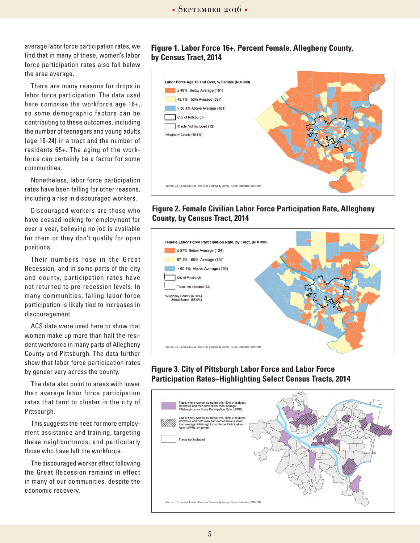average labor force participation rates, we find that in many of these, women's labor force participation rates also fall below the area average.

There are many reasons for drops in labor force participation. The data used here comprise the workforce age 16+, so some demographic factors can be contributing to these outcomes, including the number of teenagers and young adults (age 16-24) in a tract and the number of residents 65+. The aging of the workforce can certainly be a factor for some communities.

Nonetheless, labor force participation rates have been falling for other reasons, including a rise in discouraged workers.

Discouraged workers are those who have ceased looking for employment for over a year, believing no job is available for them or they don't qualify for open positions.

Their numbers rose in the Great Recession, and in some parts of the city and county, participation rates have not returned to pre-recession levels. In many communities, falling labor force participation is likely tied to increases in discouragement.

ACS data were used here to show that women make up more than half the resident workforce in many parts of Allegheny County and Pittsburgh. The data further show that labor force participation rates by gender vary across the county.

The data also point to areas with lower than average labor force participation rates that tend to cluster in the city of Pittsburgh.

This suggests the need for more employment assistance and training, targeting these neighborhoods, and particularly those who have left the workforce.

The discouraged worker effect following the Great Recession remains in effect in many of our communities, despite the economic recovery.

### **Figure 1. Labor Force 16+, Percent Female, Allegheny County, by Census Tract, 2014**



### **Figure 2. Female Civilian Labor Force Participation Rate, Allegheny County, by Census Tract, 2014**



### **Figure 3. City of Pittsburgh Labor Force and Labor Force Participation Rates–Highlighting Select Census Tracts, 2014**

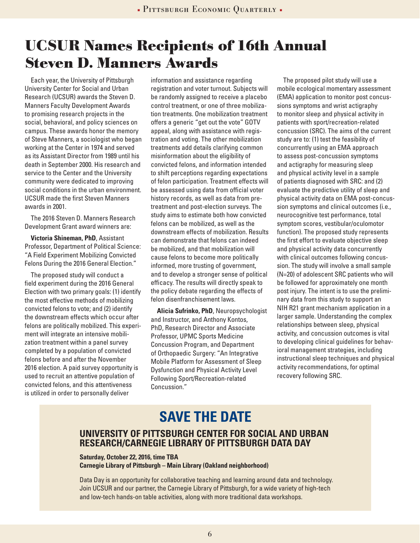# **UCSUR Names Recipients of 16th Annual Steven D. Manners Awards**

Each year, the University of Pittsburgh University Center for Social and Urban Research (UCSUR) awards the Steven D. Manners Faculty Development Awards to promising research projects in the social, behavioral, and policy sciences on campus. These awards honor the memory of Steve Manners, a sociologist who began working at the Center in 1974 and served as its Assistant Director from 1989 until his death in September 2000. His research and service to the Center and the University community were dedicated to improving social conditions in the urban environment. UCSUR made the first Steven Manners awards in 2001.

The 2016 Steven D. Manners Research Development Grant award winners are:

**Victoria Shineman, PhD**, Assistant Professor, Department of Political Science: "A Field Experiment Mobilizing Convicted Felons During the 2016 General Election."

The proposed study will conduct a field experiment during the 2016 General Election with two primary goals: (1) identify the most effective methods of mobilizing convicted felons to vote; and (2) identify the downstream effects which occur after felons are politically mobilized. This experiment will integrate an intensive mobilization treatment within a panel survey completed by a population of convicted felons before and after the November 2016 election. A paid survey opportunity is used to recruit an attentive population of convicted felons, and this attentiveness is utilized in order to personally deliver

information and assistance regarding registration and voter turnout. Subjects will be randomly assigned to receive a placebo control treatment, or one of three mobilization treatments. One mobilization treatment offers a generic "get out the vote" GOTV appeal, along with assistance with registration and voting. The other mobilization treatments add details clarifying common misinformation about the eligibility of convicted felons, and information intended to shift perceptions regarding expectations of felon participation. Treatment effects will be assessed using data from official voter history records, as well as data from pretreatment and post-election surveys. The study aims to estimate both how convicted felons can be mobilized, as well as the downstream effects of mobilization. Results can demonstrate that felons can indeed be mobilized, and that mobilization will cause felons to become more politically informed, more trusting of government, and to develop a stronger sense of political efficacy. The results will directly speak to the policy debate regarding the effects of felon disenfranchisement laws.

**Alicia Sufrinko, PhD**, Neuropsychologist and Instructor, and Anthony Kontos, PhD, Research Director and Associate Professor, UPMC Sports Medicine Concussion Program, and Department of Orthopaedic Surgery: "An Integrative Mobile Platform for Assessment of Sleep Dysfunction and Physical Activity Level Following Sport/Recreation-related Concussion."

The proposed pilot study will use a mobile ecological momentary assessment (EMA) application to monitor post concussions symptoms and wrist actigraphy to monitor sleep and physical activity in patients with sport/recreation-related concussion (SRC). The aims of the current study are to: (1) test the feasibility of concurrently using an EMA approach to assess post-concussion symptoms and actigraphy for measuring sleep and physical activity level in a sample of patients diagnosed with SRC: and (2) evaluate the predictive utility of sleep and physical activity data on EMA post-concussion symptoms and clinical outcomes (i.e., neurocognitive test performance, total symptom scores, vestibular/oculomotor function). The proposed study represents the first effort to evaluate objective sleep and physical activity data concurrently with clinical outcomes following concussion. The study will involve a small sample (N=20) of adolescent SRC patients who will be followed for approximately one month post injury. The intent is to use the preliminary data from this study to support an NIH R21 grant mechanism application in a larger sample. Understanding the complex relationships between sleep, physical activity, and concussion outcomes is vital to developing clinical guidelines for behavioral management strategies, including instructional sleep techniques and physical activity recommendations, for optimal recovery following SRC.

## **SAVE THE DATE**

## **UNIVERSITY OF PITTSBURGH CENTER FOR SOCIAL AND URBAN RESEARCH/CARNEGIE LIBRARY OF PITTSBURGH DATA DAY**

#### **Saturday, October 22, 2016, time TBA Carnegie Library of Pittsburgh – Main Library (Oakland neighborhood)**

Data Day is an opportunity for collaborative teaching and learning around data and technology. Join UCSUR and our partner, the Carnegie Library of Pittsburgh, for a wide variety of high-tech and low-tech hands-on table activities, along with more traditional data workshops.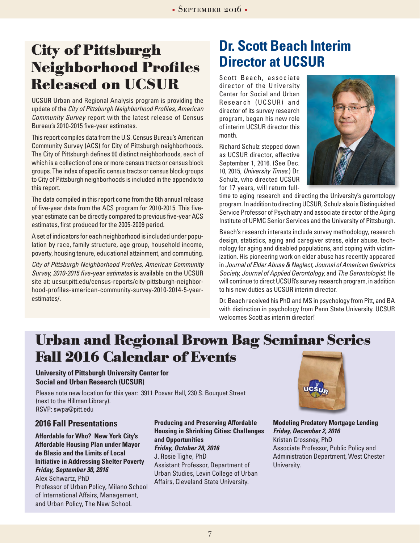# **City of Pittsburgh Neighborhood Profiles Released on UCSUR**

UCSUR Urban and Regional Analysis program is providing the update of the *City of Pittsburgh Neighborhood Profiles, American Community Survey* report with the latest release of Census Bureau's 2010-2015 five-year estimates.

This report compiles data from the U.S. Census Bureau's American Community Survey (ACS) for City of Pittsburgh neighborhoods. The City of Pittsburgh defines 90 distinct neighborhoods, each of which is a collection of one or more census tracts or census block groups. The index of specific census tracts or census block groups to City of Pittsburgh neighborhoods is included in the appendix to this report.

The data compiled in this report come from the 6th annual release of five-year data from the ACS program for 2010-2015. This fiveyear estimate can be directly compared to previous five-year ACS estimates, first produced for the 2005-2009 period.

A set of indicators for each neighborhood is included under population by race, family structure, age group, household income, poverty, housing tenure, educational attainment, and commuting.

*City of Pittsburgh Neighborhood Profiles, American Community Survey, 2010-2015 five-year estimates* is available on the UCSUR site at: ucsur.pitt.edu/census-reports/city-pittsburgh-neighborhood-profiles-american-community-survey-2010-2014-5-yearestimates/.

## **Dr. Scott Beach Interim Director at UCSUR**

Scott Beach, associate director of the University Center for Social and Urban Research (UCSUR) and director of its survey research program, began his new role of interim UCSUR director this month.

Richard Schulz stepped down as UCSUR director, effective September 1, 2016. (See Dec. 10, 2015, *University Times*.) Dr. Schulz, who directed UCSUR for 17 years, will return full-



time to aging research and directing the University's gerontology program. In addition to directing UCSUR, Schulz also is Distinguished Service Professor of Psychiatry and associate director of the Aging Institute of UPMC Senior Services and the University of Pittsburgh.

Beach's research interests include survey methodology, research design, statistics, aging and caregiver stress, elder abuse, technology for aging and disabled populations, and coping with victimization. His pioneering work on elder abuse has recently appeared in *Journal of Elder Abuse & Neglect, Journal of American Geriatrics Society, Journal of Applied Gerontology,* and *The Gerontologist*. He will continue to direct UCSUR's survey research program, in addition to his new duties as UCSUR interim director.

Dr. Beach received his PhD and MS in psychology from Pitt, and BA with distinction in psychology from Penn State University. UCSUR welcomes Scott as interim director!

## **Urban and Regional Brown Bag Seminar Series Fall 2016 Calendar of Events**

### **University of Pittsburgh University Center for Social and Urban Research (UCSUR)**

Please note new location for this year: 3911 Posvar Hall, 230 S. Bouquet Street (next to the Hillman Library). RSVP: swpa@pitt.edu

### **2016 Fall Presentations**

**Affordable for Who? New York City's Affordable Housing Plan under Mayor de Blasio and the Limits of Local Initiative in Addressing Shelter Poverty** *Friday, September 30, 2016*

Alex Schwartz, PhD Professor of Urban Policy, Milano School of International Affairs, Management, and Urban Policy, The New School.

**Producing and Preserving Affordable Housing in Shrinking Cities: Challenges and Opportunities** *Friday, October 28, 2016* J. Rosie Tighe, PhD Assistant Professor, Department of Urban Studies, Levin College of Urban Affairs, Cleveland State University.



**Modeling Predatory Mortgage Lending** *Friday, December 2, 2016* Kristen Crossney, PhD Associate Professor, Public Policy and Administration Department, West Chester University.